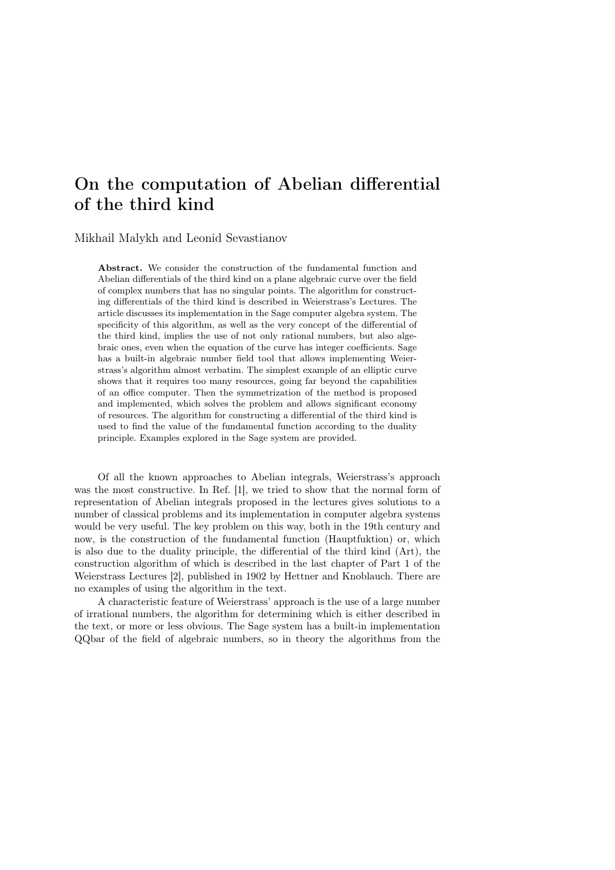## On the computation of Abelian differential of the third kind

## Mikhail Malykh and Leonid Sevastianov

Abstract. We consider the construction of the fundamental function and Abelian differentials of the third kind on a plane algebraic curve over the field of complex numbers that has no singular points. The algorithm for constructing differentials of the third kind is described in Weierstrass's Lectures. The article discusses its implementation in the Sage computer algebra system. The specificity of this algorithm, as well as the very concept of the differential of the third kind, implies the use of not only rational numbers, but also algebraic ones, even when the equation of the curve has integer coefficients. Sage has a built-in algebraic number field tool that allows implementing Weierstrass's algorithm almost verbatim. The simplest example of an elliptic curve shows that it requires too many resources, going far beyond the capabilities of an office computer. Then the symmetrization of the method is proposed and implemented, which solves the problem and allows significant economy of resources. The algorithm for constructing a differential of the third kind is used to find the value of the fundamental function according to the duality principle. Examples explored in the Sage system are provided.

Of all the known approaches to Abelian integrals, Weierstrass's approach was the most constructive. In Ref. [1], we tried to show that the normal form of representation of Abelian integrals proposed in the lectures gives solutions to a number of classical problems and its implementation in computer algebra systems would be very useful. The key problem on this way, both in the 19th century and now, is the construction of the fundamental function (Hauptfuktion) or, which is also due to the duality principle, the differential of the third kind (Art), the construction algorithm of which is described in the last chapter of Part 1 of the Weierstrass Lectures [2], published in 1902 by Hettner and Knoblauch. There are no examples of using the algorithm in the text.

A characteristic feature of Weierstrass' approach is the use of a large number of irrational numbers, the algorithm for determining which is either described in the text, or more or less obvious. The Sage system has a built-in implementation QQbar of the field of algebraic numbers, so in theory the algorithms from the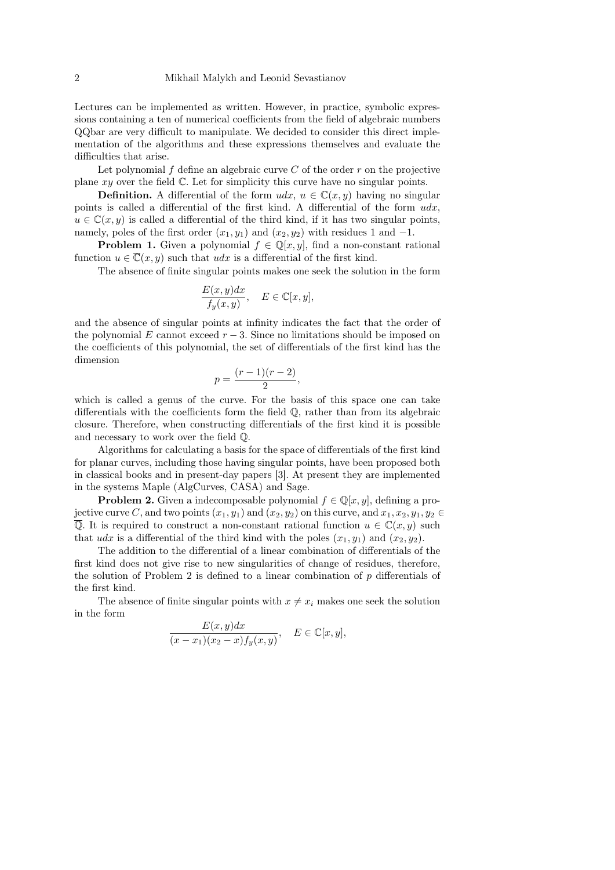Lectures can be implemented as written. However, in practice, symbolic expressions containing a ten of numerical coefficients from the field of algebraic numbers QQbar are very difficult to manipulate. We decided to consider this direct implementation of the algorithms and these expressions themselves and evaluate the difficulties that arise.

Let polynomial f define an algebraic curve  $C$  of the order  $r$  on the projective plane  $xy$  over the field  $\mathbb C$ . Let for simplicity this curve have no singular points.

**Definition.** A differential of the form  $udx$ ,  $u \in \mathbb{C}(x, y)$  having no singular points is called a differential of the first kind. A differential of the form  $udx$ ,  $u \in \mathbb{C}(x, y)$  is called a differential of the third kind, if it has two singular points, namely, poles of the first order  $(x_1, y_1)$  and  $(x_2, y_2)$  with residues 1 and -1.

**Problem 1.** Given a polynomial  $f \in \mathbb{Q}[x, y]$ , find a non-constant rational function  $u \in \overline{\mathbb{C}}(x, y)$  such that  $udx$  is a differential of the first kind.

The absence of finite singular points makes one seek the solution in the form

$$
\frac{E(x,y)dx}{f_y(x,y)}, \quad E \in \mathbb{C}[x,y],
$$

and the absence of singular points at infinity indicates the fact that the order of the polynomial E cannot exceed  $r - 3$ . Since no limitations should be imposed on the coefficients of this polynomial, the set of differentials of the first kind has the dimension

$$
p=\frac{(r-1)(r-2)}{2},
$$

which is called a genus of the curve. For the basis of this space one can take differentials with the coefficients form the field Q, rather than from its algebraic closure. Therefore, when constructing differentials of the first kind it is possible and necessary to work over the field Q.

Algorithms for calculating a basis for the space of differentials of the first kind for planar curves, including those having singular points, have been proposed both in classical books and in present-day papers [3]. At present they are implemented in the systems Maple (AlgCurves, CASA) and Sage.

**Problem 2.** Given a indecomposable polynomial  $f \in \mathbb{Q}[x, y]$ , defining a projective curve C, and two points  $(x_1, y_1)$  and  $(x_2, y_2)$  on this curve, and  $x_1, x_2, y_1, y_2 \in$  $\overline{Q}$ . It is required to construct a non-constant rational function  $u \in \mathbb{C}(x, y)$  such that udx is a differential of the third kind with the poles  $(x_1, y_1)$  and  $(x_2, y_2)$ .

The addition to the differential of a linear combination of differentials of the first kind does not give rise to new singularities of change of residues, therefore, the solution of Problem 2 is defined to a linear combination of p differentials of the first kind.

The absence of finite singular points with  $x \neq x_i$  makes one seek the solution in the form

$$
\frac{E(x,y)dx}{(x-x_1)(x_2-x)f_y(x,y)}, \quad E \in \mathbb{C}[x,y],
$$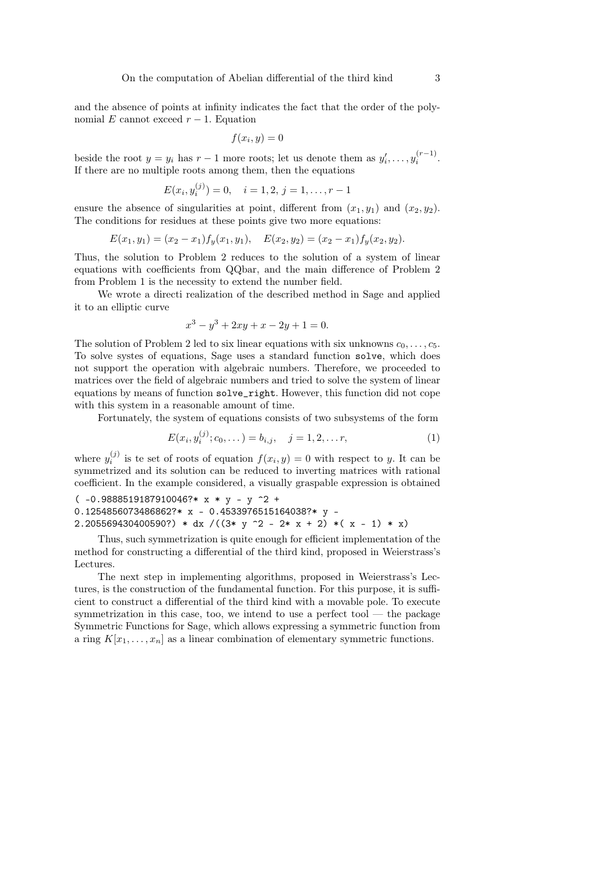and the absence of points at infinity indicates the fact that the order of the polynomial E cannot exceed  $r - 1$ . Equation

$$
f(x_i, y) = 0
$$

beside the root  $y = y_i$  has  $r - 1$  more roots; let us denote them as  $y'_i, \ldots, y_i^{(r-1)}$ . If there are no multiple roots among them, then the equations

$$
E(x_i, y_i^{(j)}) = 0, \quad i = 1, 2, j = 1, \dots, r - 1
$$

ensure the absence of singularities at point, different from  $(x_1, y_1)$  and  $(x_2, y_2)$ . The conditions for residues at these points give two more equations:

$$
E(x_1, y_1) = (x_2 - x_1) f_y(x_1, y_1), \quad E(x_2, y_2) = (x_2 - x_1) f_y(x_2, y_2).
$$

Thus, the solution to Problem 2 reduces to the solution of a system of linear equations with coefficients from QQbar, and the main difference of Problem 2 from Problem 1 is the necessity to extend the number field.

We wrote a directi realization of the described method in Sage and applied it to an elliptic curve

$$
x^3 - y^3 + 2xy + x - 2y + 1 = 0.
$$

The solution of Problem 2 led to six linear equations with six unknowns  $c_0, \ldots, c_5$ . To solve systes of equations, Sage uses a standard function solve, which does not support the operation with algebraic numbers. Therefore, we proceeded to matrices over the field of algebraic numbers and tried to solve the system of linear equations by means of function solve\_right. However, this function did not cope with this system in a reasonable amount of time.

Fortunately, the system of equations consists of two subsystems of the form

$$
E(x_i, y_i^{(j)}; c_0, \dots) = b_{i,j}, \quad j = 1, 2, \dots r,
$$
\n(1)

where  $y_i^{(j)}$  is te set of roots of equation  $f(x_i, y) = 0$  with respect to y. It can be symmetrized and its solution can be reduced to inverting matrices with rational coefficient. In the example considered, a visually graspable expression is obtained

 $(-0.9888519187910046?* x * y - y ^2 +$ 0.1254856073486862?\* x - 0.4533976515164038?\* y -2.205569430400590?) \* dx /( $(3* y^2 - 2* x + 2) * (x - 1) * x)$ 

Thus, such symmetrization is quite enough for efficient implementation of the method for constructing a differential of the third kind, proposed in Weierstrass's Lectures.

The next step in implementing algorithms, proposed in Weierstrass's Lectures, is the construction of the fundamental function. For this purpose, it is sufficient to construct a differential of the third kind with a movable pole. To execute symmetrization in this case, too, we intend to use a perfect tool — the package Symmetric Functions for Sage, which allows expressing a symmetric function from a ring  $K[x_1, \ldots, x_n]$  as a linear combination of elementary symmetric functions.